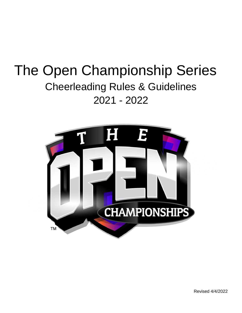# The Open Championship Series Cheerleading Rules & Guidelines 2021 - 2022



Revised 4/4/2022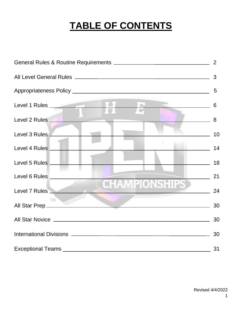# **TABLE OF CONTENTS**

|                                                                                                                                                                                                                                                                      | 2  |
|----------------------------------------------------------------------------------------------------------------------------------------------------------------------------------------------------------------------------------------------------------------------|----|
|                                                                                                                                                                                                                                                                      | 3  |
|                                                                                                                                                                                                                                                                      | 5  |
| Level 1 Rules                                                                                                                                                                                                                                                        | 6  |
| Level 2 Rules<br>$\mathbb{Z}^2$ . The set of the set of the set of the set of the set of the set of the set of the set of the set of the set of the set of the set of the set of the set of the set of the set of the set of the set of the set of                   | 8  |
| Level 3 Rules                                                                                                                                                                                                                                                        | 10 |
| Level 4 Rules                                                                                                                                                                                                                                                        | 14 |
| Level 5 Rules <u>Question and Contact and Contact and Contact and Contact and Contact and Contact and Contact and Contact and Contact and Contact and Contact and Contact and Contact and Contact and Contact and Contact and Co</u><br><u> De Barbara (Barbara)</u> | 18 |
| Level 6 Rules _________________<br><b>CHAMPIONSHIPS</b>                                                                                                                                                                                                              | 21 |
| Level 7 Rules                                                                                                                                                                                                                                                        | 24 |
| <b>TM</b><br>All Star Prep <b>Executive Contract Contract Contract Contract Contract Contract Contract Contract Contract Contract Contract Contract Contract Contract Contract Contract Contract Contract Contract Contract Contract Contract</b>                    | 30 |
|                                                                                                                                                                                                                                                                      | 30 |
|                                                                                                                                                                                                                                                                      | 30 |
|                                                                                                                                                                                                                                                                      | 31 |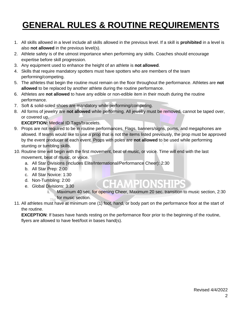# **GENERAL RULES & ROUTINE REQUIREMENTS**

- 1. All skills allowed in a level include all skills allowed in the previous level. If a skill is **prohibited** in a level is also **not allowed** in the previous level(s).
- 2. Athlete safety is of the utmost importance when performing any skills. Coaches should encourage expertise before skill progression.
- 3. Any equipment used to enhance the height of an athlete is **not allowed**.
- 4. Skills that require mandatory spotters must have spotters who are members of the team performing/competing.
- 5. The athletes that begin the routine must remain on the floor throughout the performance. Athletes are **not allowed** to be replaced by another athlete during the routine performance.
- 6. Athletes are **not allowed** to have any edible or non-edible item in their mouth during the routine performance.
- 7. Soft & solid-soled shoes are mandatory while performing/competing.
- 8. All forms of jewelry are **not allowed** while performing. All jewelry must be removed, cannot be taped over, or covered up.

**EXCEPTION:** Medical ID Tags/bracelets.

- 9. Props are not required to be in routine performances. Flags, banners/signs, poms, and megaphones are allowed. If teams would like to use a prop that is not the items listed previously, the prop must be approved by the event producer at each event. Props with poles are **not allowed** to be used while performing stunting or tumbling skills.
- 10. Routine time will begin with the first movement, beat of music, or voice. Time will end with the last movement, beat of music, or voice.
	- a. All Star Divisions (includes Elite/International/Performance Cheer): 2:30
	- b. All Star Prep: 2:00
	- c. All Star Novice: 1:30
	- d. Non-Tumbling: 2:00
	- e. Global Divisions: 3:30
		- i. Maximum 40 sec. for opening Cheer, Maximum 20 sec. transition to music section, 2:30 for music section.

**HAMPIONSHIPS** 

11. All athletes must have at minimum one (1) foot, hand, or body part on the performance floor at the start of the routine.

**EXCEPTION:** If bases have hands resting on the performance floor prior to the beginning of the routine, flyers are allowed to have feet/foot in bases hand(s).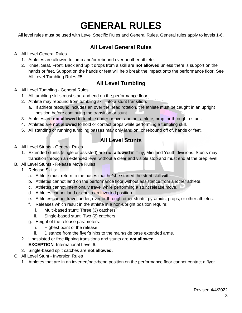# **GENERAL RULES**

All level rules must be used with Level Specific Rules and General Rules. General rules apply to levels 1-6.

### **All Level General Rules**

#### A. All Level General Rules

- 1. Athletes are allowed to jump and/or rebound over another athlete.
- 2. Knee, Seat, Front, Back and Split drops from a skill are **not allowed** unless there is support on the hands or feet. Support on the hands or feet will help break the impact onto the performance floor. See All Level Tumbling Rules #5.

### **All Level Tumbling**

#### A. All Level Tumbling - General Rules

- 1. All tumbling skills must start and end on the performance floor.
- 2. Athlete may rebound from tumbling skill into a stunt transition.
	- a. If athlete rebound includes an over the head rotation, the athlete must be caught in an upright position before continuing the transition or stunt.
- 3. Athletes are **not allowed** to tumble under or over another athlete, prop, or through a stunt.
- 4. Athletes are **not allowed** to hold or contact props while performing a tumbling skill.
- 5. All standing or running tumbling passes may only land on, or rebound off of, hands or feet.

### **All Level Stunts**

- A. All Level Stunts General Rules
	- 1. Extended stunts (single or assisted) are **not allowed** in Tiny, Mini and Youth divisions. Stunts may transition through an extended level without a clear and visible stop and must end at the prep level.
- B. All Level Stunts Release Move Rules
	- 1. Release Skills:
		- a. Athlete must return to the bases that he/she started the stunt skill with.
		- b. Athletes cannot land on the performance floor without assistance from another athlete.
		- c. Athletes cannot intentionally travel while performing a stunt release move.
		- d. Athletes cannot land or end in an inverted position.
		- e. Athletes cannot travel under, over or through other stunts, pyramids, props, or other athletes.
		- f. Releases which result in the athlete in a non-upright position require:
			- i. Multi-based stunt: Three (3) catchers
			- ii. Single-based stunt: Two (2) catchers
		- g. Height of the release parameters:
			- i. Highest point of the release.
			- ii. Distance from the flyer's hips to the main/side base extended arms.
	- 2. Unassisted or free flipping transitions and stunts are **not allowed**. **EXCEPTION**: International Level 6.
	- 3. Single-based split catches are **not allowed.**
- C. All Level Stunt Inversion Rules
	- 1. Athletes that are in an inverted/backbend position on the performance floor cannot contact a flyer.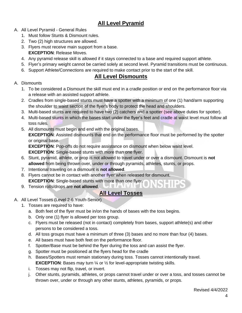# **All Level Pyramid**

- A. All Level Pyramid General Rules
	- 1. Must follow Stunts & Dismount rules.
	- 2. Two (2) high structures are allowed.
	- 3. Flyers must receive main support from a base. **EXCEPTION**: Release Moves.
	- 4. Any pyramid release skill is allowed if it stays connected to a base and required support athlete.
	- 5. Flyer's primary weight cannot be carried solely at second level. Pyramid transitions must be continuous.
	- 6. Support Athlete/Connections are required to make contact prior to the start of the skill.

#### **All Level Dismounts**

- A. Dismounts
	- 1. To be considered a Dismount the skill must end in a cradle position or end on the performance floor via a release with an assisted support athlete.
	- 2. Cradles from single-based stunts must have a spotter with a minimum of one (1) hand/arm supporting the shoulder to waist section of the flyer's body to protect the head and shoulders.
	- 3. Multi-based stunts are required to have two (2) catchers and a spotter (see above duties for spotter).
	- 4. Multi-based stunts in which the bases start under the flyer's feet and cradle at waist level must follow all toss rules.
	- 5. All dismounts must begin and end with the original bases. **EXCEPTION**: Assisted dismounts that end on the performance floor must be performed by the spotter or original base.

**EXCEPTION**: Pop-offs do not require assistance on dismount when below waist level. **EXCEPTION**: Single-based stunts with more than one flyer.

- 6. Stunt, pyramid, athlete, or prop is not allowed to travel under or over a dismount. Dismount is **not allowed** from being thrown over, under or through pyramids, athletes, stunts, or props.
- 7. Intentional traveling on a dismount is **not allowed**.
- 8. Flyers cannot be in contact with another flyer when released for dismount. **EXCEPTION**: Single-based stunts with more than one flyer.
- 9. Tension rolls/drops are **not allowed**.

#### **All Level Tosses**

- A. All Level Tosses (Level 2-6 Youth-Senior)
	- 1. Tosses are required to have:
		- a. Both feet of the flyer must be in/on the hands of bases with the toss begins.
		- b. Only one (1) flyer is allowed per toss group.
		- c. Flyers must be released (not in contact) completely from bases, support athlete(s) and other persons to be considered a toss.
		- d. All toss groups must have a minimum of three (3) bases and no more than four (4) bases.
		- e. All bases must have both feet on the performance floor.
		- f. Spotter/Base must be behind the flyer during the toss and can assist the flyer.
		- g. Spotter must be positioned at the flyers head for the cradle
		- h. Bases/Spotters must remain stationary during toss. Tosses cannot intentionally travel. **EXCEPTION:** Bases may turn 1/4 or 1/2 for level-appropriate twisting skills.
		- i. Tosses may not flip, travel, or invert.
		- j. Other stunts, pyramids, athletes, or props cannot travel under or over a toss, and tosses cannot be thrown over, under or through any other stunts, athletes, pyramids, or props.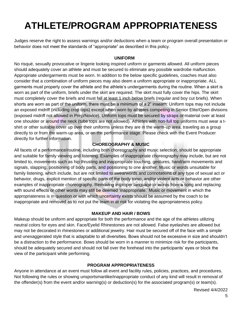# **ATHLETE/PROGRAM APPROPRIATENESS**

Judges reserve the right to assess warnings and/or deductions when a team or program overall presentation or behavior does not meet the standards of "appropriate" as described in this policy.

#### **UNIFORM**

No risqué, sexually provocative or lingerie looking inspired uniform or garments allowed. All uniform pieces should adequately cover an athlete and must be secured to eliminate any possible wardrobe malfunction. Appropriate undergarments must be worn. In addition to the below specific guidelines, coaches must also consider that a combination of uniform pieces may also deem a uniform appropriate or inappropriate. ALL garments must properly cover the athlete and the athlete's undergarments during the routine. When a skirt is worn as part of the uniform, briefs under the skirt are required. The skirt must fully cover the hips. The skirt must completely cover the briefs and must fall at least 1 inch below briefs (regular and boy cut briefs). When shorts are worn as part of the uniform, there must be a minimum of a 2" inseam. Uniform tops may not include an exposed midriff (including crop tops) except when worn by athletes competing in Senior Elite/Open divisions (exposed midriff not allowed in Prep/Novice). Uniform tops must be secured by straps or material over at least one shoulder or around the neck (tube tops are not allowed). Athletes with non-full top uniforms must wear a tshirt or other suitable cover up over their uniforms unless they are in the warm‐up area, traveling as a group directly to or from the warm-up area, or on the performance stage. Please check with the Event Producer directly for further information.

#### **CHOREOGRAPHY & MUSIC**

All facets of a performance/routine, including both choreography and music selection, should be appropriate and suitable for family viewing and listening. Examples of inappropriate choreography may include, but are not limited to, movements such as hip thrusting and inappropriate touching, gestures, hand/arm movements and signals, slapping, positioning of body parts, and positioning to one another. Music or words unsuitable for family listening, which include, but are not limited to swearwords and connotations of any type of sexual act or behavior, drugs, explicit mention of specific parts of the body torso, and/or violent acts or behavior are other examples of inappropriate choreography. Removing improper language or words from a song and replacing with sound effects or other words may still be deemed 'inappropriate.' Music or movement in which the appropriateness is in question or with which uncertainty exists should be assumed by the coach to be inappropriate and removed as to not put the team in at risk for violating the appropriateness policy.

#### **MAKEUP AND HAIR / BOWS**

Makeup should be uniform and appropriate for both the performance and the age of the athletes utilizing neutral colors for eyes and skin. Face/Eyelid Rhinestones are not allowed. False eyelashes are allowed but may not be decorated in rhinestones or additional jewelry. Hair must be secured off of the face with a simple and unexaggerated style that is adaptable to all diversities. Bows should not be excessive in size and shouldn't be a distraction to the performance. Bows should be worn in a manner to minimize risk for the participants, should be adequately secured and should not fall over the forehead into the participants' eyes or block the view of the participant while performing.

#### **PROGRAM APPROPRIATENESS**

Anyone in attendance at an event must follow all event and facility rules, policies, practices, and procedures. Not following the rules or showing unsportsmanlike/inappropriate conduct of any kind will result in removal of the offender(s) from the event and/or warning(s) or deduction(s) for the associated program(s) or team(s).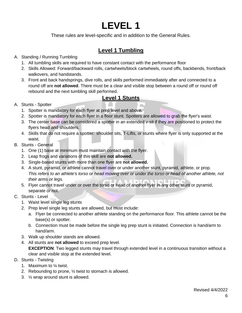These rules are level-specific and in addition to the General Rules.

### **Level 1 Tumbling**

#### A. Standing / Running Tumbling

- 1. All tumbling skills are required to have constant contact with the performance floor
- 2. Skills Allowed: Forward/backward rolls, cartwheels/block cartwheels, round offs, backbends, front/back walkovers, and handstands.
- 3. Front and back handsprings, dive rolls, and skills performed immediately after and connected to a round off are **not allowed**. There must be a clear and visible stop between a round off or round off rebound and the next tumbling skill performed.

#### **Level 1 Stunts**

#### A. Stunts - Spotter

- 1. Spotter is mandatory for each flyer at prep level and above.
- 2. Spotter is mandatory for each flyer in a floor stunt. Spotters are allowed to grab the flyer's waist.
- 3. The center base can be considered a spotter in an extended v-sit if they are positioned to protect the flyers head and shoulders.
- 4. Skills that do not require a spotter: shoulder sits, T-Lifts, or stunts where flyer is only supported at the waist.

#### B. Stunts - General

- 1. One (1) base at minimum must maintain contact with the flyer.
- 2. Leap frogs and variations of this skill are **not allowed.**
- 3. Single-based stunts with more than one flyer are **not allowed.**
- 4. A stunt, pyramid, or athlete cannot travel over or under another stunt, pyramid, athlete, or prop. *This refers to an athlete's torso or head moving over or under the torso or head of another athlete, not their arms or legs.*
- 5. Flyer cannot travel under or over the torso or head of another flyer in any other stunt or pyramid, separate or not.
- C. Stunts Level
	- 1. Waist level single leg stunts
	- 2. Prep level single leg stunts are allowed, but must include:
		- a. Flyer be connected to another athlete standing on the performance floor. This athlete cannot be the base(s) or spotter.
		- b. Connection must be made before the single leg prep stunt is initiated. Connection is hand/arm to hand/arm.
	- 3. Walk up shoulder stands are allowed.
	- 4. All stunts are **not allowed** to exceed prep level. **EXCEPTION:** Two legged stunts may travel through extended level in a continuous transition without a clear and visible stop at the extended level.
- D. Stunts Twisting
	- 1. Maximum to ¼ twist.
	- 2. Rebounding to prone, ½ twist to stomach is allowed.
	- 3. ½ wrap around stunt is allowed.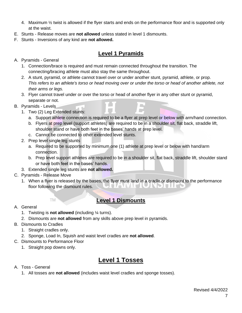- 4. Maximum ½ twist is allowed if the flyer starts and ends on the performance floor and is supported only at the waist.
- E. Stunts Release moves are **not allowed** unless stated in level 1 dismounts.
- F. Stunts Inversions of any kind are **not allowed.**

### **Level 1 Pyramids**

A. Pyramids - General

- 1. Connection/brace is required and must remain connected throughout the transition. The connecting/bracing athlete must also stay the same throughout.
- 2. A stunt, pyramid, or athlete cannot travel over or under another stunt, pyramid, athlete, or prop. *This refers to an athlete's torso or head moving over or under the torso or head of another athlete, not their arms or legs.*
- 3. Flyer cannot travel under or over the torso or head of another flyer in any other stunt or pyramid, separate or not.

#### B. Pyramids - Levels

- 1. Two (2) Leg Extended stunts:
	- a. Support athlete connection is required to be a flyer at prep level or below with arm/hand connection.
	- b. Flyers at prep level (support athletes) are required to be in a shoulder sit, flat back, straddle lift, shoulder stand or have both feet in the bases' hands at prep level.
	- c. Cannot be connected to other extended level stunts.
- 2. Prep level single leg stunts
	- a. Required to be supported by minimum one (1) athlete at prep level or below with hand/arm connection.
	- b. Prep level support athletes are required to be in a shoulder sit, flat back, straddle lift, shoulder stand or have both feet in the bases' hands.
- 3. Extended single leg stunts are **not allowed.**
- C. Pyramids Release Move
	- 1. When a flyer is released by the bases, the flyer must land in a cradle or dismount to the performance **JELIAIN** floor following the dismount rules. JNP) TIJER

### **Level 1 Dismounts**

- A. General
	- 1. Twisting is **not allowed** (including ¼ turns).
	- 2. Dismounts are **not allowed** from any skills above prep level in pyramids.
- B. Dismounts to Cradles
	- 1. Straight cradles only.
	- 2. Sponge, Load In, Squish and waist level cradles are **not allowed**.
- C. Dismounts to Performance Floor

**TM** 

1. Straight pop downs only.

# **Level 1 Tosses**

- A. Toss General
	- 1. All tosses are **not allowed** (includes waist level cradles and sponge tosses).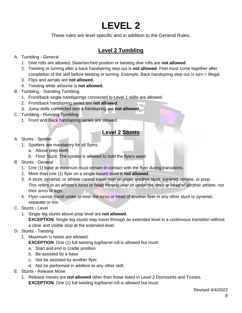These rules are level specific and in addition to the General Rules.

# **Level 2 Tumbling**

#### A. Tumbling - General

- 1. Dive rolls are allowed. Swan/arched position or twisting dive rolls are **not allowed**.
- 2. Twisting or turning after a back handspring step out is **not allowed**. Feet must come together after completion of the skill before twisting or turning. Example: Back handspring step out  $\frac{1}{2}$  turn = Illegal
- 3. Flips and aerials are **not allowed.**
- 4. Twisting while airborne is **not allowed.**
- B. Tumbling Standing Tumbling
	- 1. Front/back single handsprings connected to Level 1 skills are allowed.
	- 2. Front/back handspring series are **not allowed**.
	- 3. Jump skills connected with a handspring are **not allowed**.
- C. Tumbling Running Tumbling
	- 1. Front and Back handspring series are allowed.

# **Level 2 Stunts**

- A. Stunts Spotter
	- 1. Spotters are mandatory for all flyers:
		- a. Above prep level.
		- b. Floor Stunt: The spotter is allowed to hold the flyers waist
- B. Stunts General
	- 1. One (1) base at minimum must remain in contact with the flyer during transitions.
	- 2. More than one (1) flyer on a single-based stunt is **not allowed**.
	- 3. A stunt, pyramid, or athlete cannot travel over or under another stunt, pyramid, athlete, or prop. *This refers to an athlete's torso or head moving over or under the torso or head of another athlete, not their arms or legs.*
	- 4. Flyer cannot travel under or over the torso or head of another flyer in any other stunt or pyramid, separate or not.
- C. Stunts Level
	- 1. Single leg stunts above prep level are **not allowed.**

**EXCEPTION**: Single leg stunts may travel through an extended level in a continuous transition without a clear and visible stop at the extended level.

#### D. Stunts - Twisting

1. Maximum ½ twists are allowed.

**EXCEPTION:** One (1) full twisting log/barrel roll is allowed but must:

- a. Start and end in cradle position.
- b. Be assisted by a base.
- c. Not be assisted by another flyer.
- d. Not be performed in addition to any other skill.
- E. Stunts Release Move
	- 1. Release moves are **not allowed** other than those listed in Level 2 Dismounts and Tosses. **EXCEPTION:** One (1) full twisting log/barrel roll is allowed but must: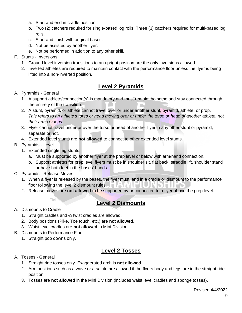- a. Start and end in cradle position.
- b. Two (2) catchers required for single-based log rolls. Three (3) catchers required for multi-based log rolls.
- c. Start and finish with original bases.
- d. Not be assisted by another flyer.
- e. Not be performed in addition to any other skill.
- F. Stunts Inversions
	- 1. Ground level inversion transitions to an upright position are the only inversions allowed.
	- 2. Inverted athletes are required to maintain contact with the performance floor unless the flyer is being lifted into a non-inverted position.

### **Level 2 Pyramids**

#### A. Pyramids - General

- 1. A support athlete/connection(s) is mandatory and must remain the same and stay connected through the entirety of the transition.
- 2. A stunt, pyramid, or athlete cannot travel over or under another stunt, pyramid, athlete, or prop. *This refers to an athlete's torso or head moving over or under the torso or head of another athlete, not their arms or legs.*
- 3. Flyer cannot travel under or over the torso or head of another flyer in any other stunt or pyramid, separate or not.
- 4. Extended level stunts are **not allowed** to connect to other extended level stunts.
- B. Pyramids Level
	- 1. Extended single leg stunts:
		- a. Must be supported by another flyer at the prep level or below with arm/hand connection.
		- b. Support athletes for prep level flyers must be in shoulder sit, flat back, straddle lift, shoulder stand or have both feet in the bases' hands.
- C. Pyramids Release Moves
	- 1. When a flyer is released by the bases, the flyer must land in a cradle or dismount to the performance floor following the level 2 dismount rules.
	- 2. Release moves are **not allowed** to be supported by or connected to a flyer above the prep level.

### **Level 2 Dismounts**

#### A. Dismounts to Cradle

- 1. Straight cradles and ¼ twist cradles are allowed.
- 2. Body positions (Pike, Toe touch, etc.) are **not allowed**.
- 3. Waist level cradles are **not allowed** in Mini Division.
- B. Dismounts to Performance Floor

**TM** 

1. Straight pop downs only.

# **Level 2 Tosses**

- A. Tosses General
	- 1. Straight ride tosses only. Exaggerated arch is **not allowed.**
	- 2. Arm positions such as a wave or a salute are allowed if the flyers body and legs are in the straight ride position.
	- 3. Tosses are **not allowed** in the Mini Division (includes waist level cradles and sponge tosses).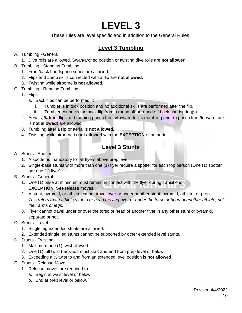These rules are level specific and in addition to the General Rules.

# **Level 3 Tumbling**

#### A. Tumbling - General

- 1. Dive rolls are allowed. Swan/arched position or twisting dive rolls are **not allowed**.
- B. Tumbling Standing Tumbling
	- 1. Front/back handspring series are allowed.
	- 2. Flips and Jump skills connected with a flip are **not allowed.**
	- 3. Twisting while airborne is **not allowed.**
- C. Tumbling Running Tumbling
	- 1. Flips
		- a. Back flips can be performed if:
			- i. Tumbler is in tuck position and no additional skills are performed after the flip.
			- ii. Tumbler connects the back flip from a round off or round off back handspring(s).
	- 2. Aerials, ¾ front flips and running punch fronts/forward tucks (tumbling prior to punch front/forward tuck is **not allowed**) are allowed.
	- 3. Tumbling after a flip or aerial is **not allowed.**
	- 4. Twisting while airborne is **not allowed** with the **EXCEPTION** of an aerial.

# **Level 3 Stunts**

- A. Stunts Spotter
	- 1. A spotter is mandatory for all flyers above prep level.
	- 2. Single-base stunts with more than one (1) flyer require a spotter for each top person (One (1) spotter per one (1) flyer).
- B. Stunts General
	- 1. One (1) base at minimum must remain in contact with the flyer during transitions. **EXCEPTION**: See release moves.
	- 2. A stunt, pyramid, or athlete cannot travel over or under another stunt, pyramid, athlete, or prop. *This refers to an athlete's torso or head moving over or under the torso or head of another athlete, not their arms or legs.*
	- 3. Flyer cannot travel under or over the torso or head of another flyer in any other stunt or pyramid, separate or not.
- C. Stunts Level
	- 1. Single leg extended stunts are allowed.
	- 2. Extended single leg stunts cannot be supported by other extended level stunts.
- D. Stunts Twisting
	- 1. Maximum one (1) twist allowed.
	- 2. One (1) full twist transition must start and end from prep level or below.
	- 3. Exceeding a ½ twist to and from an extended level position is **not allowed.**
- E. Stunts Release Move
	- 1. Release moves are required to:
		- a. Begin at waist level or below.
		- b. End at prep level or below.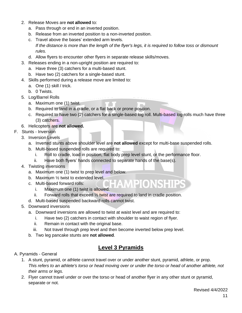- 2. Release Moves are **not allowed** to:
	- a. Pass through or end in an inverted position.
	- b. Release from an inverted position to a non-inverted position.
	- c. Travel above the bases' extended arm levels. *If the distance is more than the length of the flyer's legs, it is required to follow toss or dismount rules.*
	- d. Allow flyers to encounter other flyers in separate release skills/moves.
- 3. Releases ending in a non-upright position are required to:
	- a. Have three (3) catchers for a multi-based stunt.
	- b. Have two (2) catchers for a single-based stunt.
- 4. Skills performed during a release move are limited to:
	- a. One (1) skill / trick.
	- b. 0 Twists.
- 5. Log/Barrel Rolls
	- a. Maximum one (1) twist.
	- b. Required to land in a cradle, or a flat back or prone position.
	- c. Required to have two (2) catchers for a single-based log roll. Multi-based log rolls much have three (3) catchers.

**MPIONSHIPS** 

- 6. Helicopters are **not allowed.**
- F. Stunts Inversion
	- 3. Inversion Levels
		- a. Inverted stunts above shoulder level are **not allowed** except for multi-base suspended rolls.
		- b. Multi-based suspended rolls are required to:
			- i. Roll to cradle, load in position, flat body prep level stunt, or the performance floor.
			- ii. Have both flyers' hands connected to separate hands of the base(s).
	- 4. Twisting inversions
		- a. Maximum one (1) twist to prep level and below.
		- b. Maximum ½ twist to extended level.
		- c. Multi-based forward rolls:
			- i. Maximum one (1) twist is allowed.
			- ii. Forward rolls that exceed  $\frac{1}{2}$  twist are required to land in cradle position.
		- d. Multi-based suspended backward rolls cannot twist.
	- 5. Downward inversions
		- a. Downward inversions are allowed to twist at waist level and are required to:
			- i. Have two (2) catchers in contact with shoulder to waist region of flyer.
			- ii. Remain in contact with the original base.
			- iii. Not travel through prep level and then become inverted below prep level.
		- b. Two leg pancake stunts are **not allowed**.

#### **Level 3 Pyramids**

- A. Pyramids General
	- 1. A stunt, pyramid, or athlete cannot travel over or under another stunt, pyramid, athlete, or prop. *This refers to an athlete's torso or head moving over or under the torso or head of another athlete, not their arms or legs.*
	- 2. Flyer cannot travel under or over the torso or head of another flyer in any other stunt or pyramid, separate or not.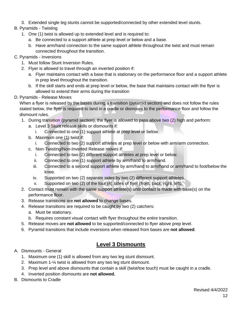- 3. Extended single leg stunts cannot be supported/connected by other extended level stunts.
- B. Pyramids Twisting
	- 1. One (1) twist is allowed up to extended level and is required to:
		- a. Be connected to a support athlete at prep level or below and a base.
		- b. Have arm/hand connection to the same support athlete throughout the twist and must remain connected throughout the transition.

#### C. Pyramids - Inversions

- 1. Must follow Stunt Inversion Rules.
- 2. Flyer is allowed to travel through an inverted position if:
	- a. Flyer maintains contact with a base that is stationary on the performance floor and a support athlete in prep level throughout the transition.
	- b. If the skill starts and ends at prep level or below, the base that maintains contact with the flyer is allowed to extend their arms during the transition

#### D. Pyramids - Release Moves

When a flyer is released by the bases during a transition (pyramid section) and does not follow the rules stated below, the flyer is required to land in a cradle or dismount to the performance floor and follow the dismount rules.

- 1. During transition (pyramid section), the flyer is allowed to pass above two (2) high and perform:
	- a. Level 3 Stunt release skills or dismounts if:
		- i. Connected to one (1) support athlete at prep level or below.
	- b. Maximum one (1) twist if:
		- i. Connected to two (2) support athletes at prep level or below with arm/arm connection.
	- c. Non-Twisting/Non-Inverted Release moves if:
		- i. Connected to two (2) different support athletes at prep level or below.
		- ii. Connected to one (1) support athlete by arm/hand to arm/hand.
		- iii. Connected to a second support athlete by arm/hand to arm/hand or arm/hand to foot/below the knee.
		- iv. Supported on two (2) separate sides by two (2) different support athletes.
		- v. Supported on two (2) of the four (4) sides of flyer (front, back, right, left).
- 2. Contact must remain with the same support athlete(s) until contact is made with base(s) on the performance floor.
- 3. Release transitions are **not allowed** to change bases.
- 4. Release transitions are required to be caught by two (2) catchers:
	- a. Must be stationary.
	- b. Requires constant visual contact with flyer throughout the entire transition.
- 5. Release moves are **not allowed** to be supported/connected to flyer above prep level.
- 6. Pyramid transitions that include inversions when released from bases are **not allowed**.

# **Level 3 Dismounts**

#### A. Dismounts - General

- 1. Maximum one (1) skill is allowed from any two leg stunt dismount.
- 2. Maximum 1-¼ twist is allowed from any two leg stunt dismount.
- 3. Prep level and above dismounts that contain a skill (twist/toe touch) must be caught in a cradle.
- 4. Inverted position dismounts are **not allowed.**
- B. Dismounts to Cradle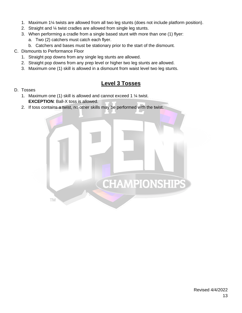- 1. Maximum 1¼ twists are allowed from all two leg stunts (does not include platform position).
- 2. Straight and ¼ twist cradles are allowed from single leg stunts.
- 3. When performing a cradle from a single based stunt with more than one (1) flyer:
	- a. Two (2) catchers must catch each flyer.
	- b. Catchers and bases must be stationary prior to the start of the dismount.
- C. Dismounts to Performance Floor
	- 1. Straight pop downs from any single leg stunts are allowed.
	- 2. Straight pop downs from any prep level or higher two leg stunts are allowed.
	- 3. Maximum one (1) skill is allowed in a dismount from waist level two leg stunts.

### **Level 3 Tosses**

#### D. Tosses

- 1. Maximum one (1) skill is allowed and cannot exceed 1 ¼ twist. **EXCEPTION**: Ball-X toss is allowed.
- 2. If toss contains a twist, no other skills may be performed with the twist.

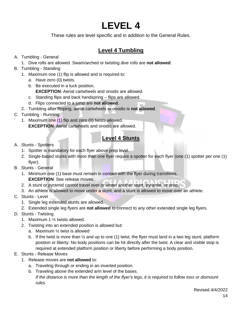These rules are level specific and in addition to the General Rules.

# **Level 4 Tumbling**

#### A. Tumbling - General

- 1. Dive rolls are allowed. Swam/arched or twisting dive rolls are **not allowed**.
- B. Tumbling Standing
	- 1. Maximum one (1) flip is allowed and is required to:
		- a. Have zero (0) twists.
		- b. Be executed in a tuck position. **EXCEPTION**: Aerial cartwheels and onodis are allowed.
		- c. Standing flips and back handspring flips are allowed.
		- d. Flips connected to a jump are **not allowed**.
	- 2. Tumbling after flipping, aerial cartwheels or onodis is **not allowed**.
- C. Tumbling Running
	- 1. Maximum one (1) flip and zero (0) twists allowed. **EXCEPTION**: Aerial cartwheels and onodis are allowed.

# **Level 4 Stunts**

- A. Stunts Spotters
	- 1. Spotter is mandatory for each flyer above prep level.
	- 2. Single-based stunts with more than one flyer require a spotter for each flyer (one (1) spotter per one (1) flyer).
- B. Stunts General
	- 1. Minimum one (1) base must remain in contact with the flyer during transitions. **EXCEPTION**: See release moves.
	- 2. A stunt or pyramid cannot travel over or under another stunt, pyramid, or prop.
	- 3. An athlete is allowed to move under a stunt, and a stunt is allowed to move over an athlete.
- C. Stunts Level
	- 1. Single leg extended stunts are allowed.
	- 2. Extended single leg flyers are **not allowed** to connect to any other extended single leg flyers.
- D. Stunts Twisting
	- 1. Maximum 1 ½ twists allowed.
	- 2. Twisting into an extended position is allowed but:
		- a. Maximum ½ twist is allowed
		- b. If the twist is more than  $\frac{1}{2}$  and up to one (1) twist, the flyer must land in a two leg stunt, platform position or liberty. No body positions can be hit directly after the twist. A clear and visible stop is required at extended platform position or liberty before performing a body position.
- E. Stunts Release Moves
	- 1. Release moves are **not allowed** to:
		- a. Traveling through or ending in an inverted position.
		- b. Traveling above the extended arm level of the bases. *If the distance is more than the length of the flyer's legs, it is required to follow toss or dismount rules.*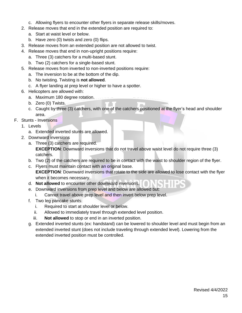- c. Allowing flyers to encounter other flyers in separate release skills/moves.
- 2. Release moves that end in the extended position are required to:
	- a. Start at waist level or below.
	- b. Have zero (0) twists and zero (0) flips.
- 3. Release moves from an extended position are not allowed to twist.
- 4. Release moves that end in non-upright positions require:
	- a. Three (3) catchers for a multi-based stunt.
	- b. Two (2) catchers for a single-based stunt.
- 5. Release moves from inverted to non-inverted positions require:
	- a. The inversion to be at the bottom of the dip.
	- b. No twisting. Twisting is **not allowed**.
	- c. A flyer landing at prep level or higher to have a spotter.
- 6. Helicopters are allowed with:
	- a. Maximum 180 degree rotation.
	- b. Zero (0) Twists.
	- c. Caught by three (3) catchers, with one of the catchers positioned at the flyer's head and shoulder area.
- F. Stunts Inversions
	- 1. Levels
		- a. Extended inverted stunts are allowed.
	- 2. Downward inversions
		- a. Three (3) catchers are required. **EXCEPTION:** Downward inversions that do not travel above waist level do not require three (3) catchers.
		- b. Two (2) of the catchers are required to be in contact with the waist to shoulder region of the flyer.
		- c. Flyers must maintain contact with an original base. **EXCEPTION**: Downward inversions that rotate to the side are allowed to lose contact with the flyer when it becomes necessary.
		- d. **Not allowed** to encounter other downward inversions.
		- e. Downward inversions from prep level and below are allowed but:
			- i. Cannot travel above prep level and then invert below prep level.
		- f. Two leg pancake stunts:
			- i. Required to start at shoulder level or below.
			- ii. Allowed to immediately travel through extended level position.
			- iii. **Not allowed** to stop or end in an inverted position.
		- g. Extended inverted stunts (ex: handstand) can be lowered to shoulder level and must begin from an extended inverted stunt (does not include traveling through extended level). Lowering from the extended inverted position must be controlled.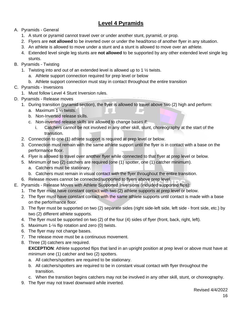### **Level 4 Pyramids**

- A. Pyramids General
	- 1. A stunt or pyramid cannot travel over or under another stunt, pyramid, or prop.
	- 2. Flyers are **not allowed** to be inverted over or under the head/torso of another flyer in any situation.
	- 3. An athlete is allowed to move under a stunt and a stunt is allowed to move over an athlete.
	- 4. Extended level single leg stunts are **not allowed** to be supported by any other extended level single leg stunts.
- B. Pyramids Twisting
	- 1. Twisting into and out of an extended level is allowed up to 1 ½ twists.
		- a. Athlete support connection required for prep level or below
		- b. Athlete support connection must stay in contact throughout the entire transition
- C. Pyramids Inversions
	- 1. Must follow Level 4 Stunt Inversion rules.
- D. Pyramids Release moves
	- 1. During transition (pyramid section), the flyer is allowed to travel above two (2) high and perform:
		- a. Maximum 1 ½ twists.
		- b. Non-Inverted release skills.
		- c. Non-inverted release skills are allowed to change bases if:
			- i. Catchers cannot be not involved in any other skill, stunt, choreography at the start of the transition.
	- 2. Connection to one (1) athlete support is required at prep level or below.
	- 3. Connection must remain with the same athlete support until the flyer is in contact with a base on the performance floor.
	- 4. Flyer is allowed to travel over another flyer while connected to that flyer at prep level or below.
	- 5. Minimum of two (2) catchers are required (one (1) spotter, one (1) catcher minimum).
		- a. Catchers must be stationary.
		- b. Catchers must remain in visual contact with the flyer throughout the entire transition.
	- 6. Release moves cannot be connected/supported to flyers above prep level.
- E. Pyramids Release Moves with Athlete Supported Inversions (included supported flips):
	- 1. The flyer must have constant contact with two (2) athlete supports at prep level or below.
	- 2. The flyer must have constant contact with the same athlete supports until contact is made with a base on the performance floor.
	- 3. The flyer must be supported on two (2) separate sides (right side-left side, left side front side, etc.) by two (2) different athlete supports.
	- 4. The flyer must be supported on two (2) of the four (4) sides of flyer (front, back, right, left).
	- 5. Maximum 1-¼ flip rotation and zero (0) twists.
	- 6. The flyer may not change bases.
	- 7. The release move must be a continuous movement.
	- 8. Three (3) catchers are required.

**EXCEPTION:** Athlete supported flips that land in an upright position at prep level or above must have at minimum one (1) catcher and two (2) spotters.

- a. All catchers/spotters are required to be stationary.
- b. All catchers/spotters are required to be in constant visual contact with flyer throughout the transition.
- c. When the transition begins catchers may not be involved in any other skill, stunt, or choreography.
- 9. The flyer may not travel downward while inverted.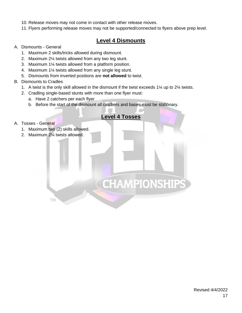- 10. Release moves may not come in contact with other release moves.
- 11. Flyers performing release moves may not be supported/connected to flyers above prep level.

### **Level 4 Dismounts**

- A. Dismounts General
	- 1. Maximum 2 skills/tricks allowed during dismount.
	- 2. Maximum 2¼ twists allowed from any two leg stunt.
	- 3. Maximum 1¼ twists allowed from a platform position.
	- 4. Maximum 1¼ twists allowed from any single leg stunt.
	- 5. Dismounts from inverted positions are **not allowed** to twist.

#### B. Dismounts to Cradles

- 1. A twist is the only skill allowed in the dismount if the twist exceeds 1¼ up to 2¼ twists.
- 2. Cradling single-based stunts with more than one flyer must:
	- a. Have 2 catchers per each flyer
	- b. Before the start of the dismount all catchers and bases must be stationary.

### **Level 4 Tosses**

**CHAMPIONSHIPS** 

#### A. Tosses - General

- 1. Maximum two (2) skills allowed.
- 2. Maximum 2¼ twists allowed.

**TM**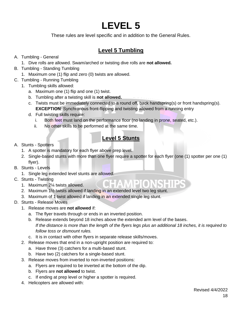These rules are level specific and in addition to the General Rules.

# **Level 5 Tumbling**

- A. Tumbling General
	- 1. Dive rolls are allowed. Swam/arched or twisting dive rolls are **not allowed.**
- B. Tumbling Standing Tumbling
	- 1. Maximum one (1) flip and zero (0) twists are allowed.
- C. Tumbling Running Tumbling
	- 1. Tumbling skills allowed:
		- a. Maximum one (1) flip and one (1) twist.
		- b. Tumbling after a twisting skill is **not allowed.**
		- c. Twists must be immediately connected to a round off, back handspring(s) or front handspring(s). **EXCEPTION:** Synchronous front-flipping and twisting allowed from a running entry
		- d. Full twisting skills require:
			- i. Both feet must land on the performance floor (no landing in prone, seated, etc.).
			- ii. No other skills to be performed at the same time.

# **Level 5 Stunts**

- A. Stunts Spotters
	- 1. A spotter is mandatory for each flyer above prep level.
	- 2. Single-based stunts with more than one flyer require a spotter for each flyer (one (1) spotter per one (1) flyer).
- B. Stunts Levels
	- 1. Single leg extended level stunts are allowed.
- C. Stunts Twisting
	- 1. Maximum 2¼ twists allowed.
	- 2. Maximum 1½ twists allowed if landing in an extended level two leg stunt.
	- 3. Maximum of 1 twist allowed if landing in an extended single leg stunt.
- D. Stunts Release Moves
	- 1. Release moves are **not allowed** if:
		- a. The flyer travels through or ends in an inverted position.
		- b. Release extends beyond 18 inches above the extended arm level of the bases. *If the distance is more than the length of the flyers legs plus an additional 18 inches, it is required to follow toss or dismount rules.*
		- c. It is in contact with other flyers in separate release skills/moves.
	- 2. Release moves that end in a non-upright position are required to:
		- a. Have three (3) catchers for a multi-based stunt.
		- b. Have two (2) catchers for a single-based stunt.
	- 3. Release moves from inverted to non-inverted positions:
		- a. Flyers are required to be inverted at the bottom of the dip.
		- b. Flyers are **not allowed** to twist.
		- c. If ending at prep level or higher a spotter is required.
	- 4. Helicopters are allowed with: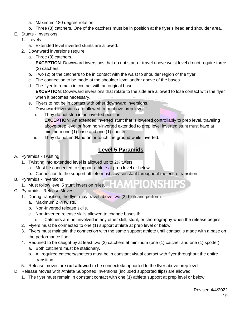- a. Maximum 180 degree rotation.
- b. Three (3) catchers. One of the catchers must be in position at the flyer's head and shoulder area.
- E. Stunts Inversions
	- 1. Levels
		- a. Extended level inverted stunts are allowed.
	- 2. Downward inversions require:
		- a. Three (3) catchers. **EXCEPTION**: Downward inversions that do not start or travel above waist level do not require three (3) catchers.
		- b. Two (2) of the catchers to be in contact with the waist to shoulder region of the flyer.
		- c. The connection to be made at the shoulder level and/or above of the bases.
		- d. The flyer to remain in contact with an original base. **EXCEPTION**: Downward inversions that rotate to the side are allowed to lose contact with the flyer when it becomes necessary.
		- e. Flyers to not be in contact with other downward inversions.
		- f. Downward inversions are allowed from above prep level if:
			- i. They do not stop in an inverted position. **EXCEPTION:** An extended inverted stunt that is lowered controllably to prep level, traveling above prep level or from non-inverted extended to prep level inverted stunt must have at minimum one (1) base and one (1) spotter.
			- ii. They do not end/land on or touch the ground while inverted.

### **Level 5 Pyramids**

- A. Pyramids Twisting
	- 1. Twisting into extended level is allowed up to 2¼ twists.
		- a. Must be connected to support athlete at prep level or below.
		- b. Connection to the support athlete must stay constant throughout the entire transition.
- B. Pyramids Inversions
	- 1. Must follow level 5 stunt inversion rules.
- C. Pyramids Release Moves
	- 1. During transition, the flyer may travel above two (2) high and perform:
		- a. Maximum 2 ¼ twists.
		- b. Non-Inverted release skills.
		- c. Non-inverted release skills allowed to change bases if:
			- i. Catchers are not involved in any other skill, stunt, or choreography when the release begins.

**MPIONSHIPS** 

- 2. Flyers must be connected to one (1) support athlete at prep level or below.
- 3. Flyers must maintain the connection with the same support athlete until contact is made with a base on the performance floor.
- 4. Required to be caught by at least two (2) catchers at minimum (one (1) catcher and one (1) spotter).
	- a. Both catchers must be stationary.
	- b. All required catchers/spotters must be in constant visual contact with flyer throughout the entire transition.
- 5. Release moves are **not allowed** to be connected/supported to the flyer above prep level.
- D. Release Moves with Athlete Supported Inversions (included supported flips) are allowed:
	- 1. The flyer must remain in constant contact with one (1) athlete support at prep level or below.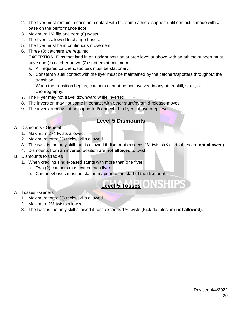- 2. The flyer must remain in constant contact with the same athlete support until contact is made with a base on the performance floor.
- 3. Maximum 1¼ flip and zero (0) twists.
- 4. The flyer is allowed to change bases.
- 5. The flyer must be in continuous movement.
- 6. Three (3) catchers are required.

**EXCEPTION**: Flips that land in an upright position at prep level or above with an athlete support must have one (1) catcher or two (2) spotters at minimum.

- a. All required catchers/spotters must be stationary.
- b. Constant visual contact with the flyer must be maintained by the catchers/spotters throughout the transition.
- c. When the transition begins, catchers cannot be not involved in any other skill, stunt, or choreography.
- 7. The Flyer may not travel downward while inverted.
- 8. The inversion may not come in contact with other stunt/pyramid release moves.
- 9. The inversion may not be supported/connected to flyers above prep level

### **Level 5 Dismounts**

#### A. Dismounts - General

- 1. Maximum 2 ¼ twists allowed.
- 2. Maximum three (3) tricks/skills allowed.
- 3. The twist is the only skill that is allowed if dismount exceeds 1½ twists (Kick doubles are **not allowed**).
- 4. Dismounts from an inverted position are **not allowed** to twist.
- B. Dismounts to Cradles
	- 1. When cradling single-based stunts with more than one flyer:
		- a. Two (2) catchers must catch each flyer.
		- b. Catchers/bases must be stationary prior to the start of the dismount.

# **Level 5 Tosses**

#### A. Tosses - General

- 1. Maximum three (3) tricks/skills allowed.
- 2. Maximum 2½ twists allowed.
- 3. The twist is the only skill allowed if toss exceeds 1½ twists (Kick doubles are **not allowed**).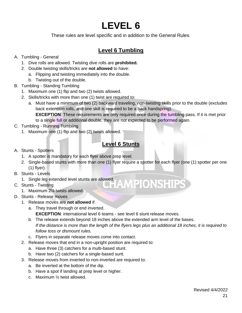These rules are level specific and in addition to the General Rules.

# **Level 6 Tumbling**

#### A. Tumbling - General

- 1. Dive rolls are allowed. Twisting dive rolls are **prohibited.**
- 2. Double twisting skills/tricks are **not allowed** to have:
	- a. Flipping and twisting immediately into the double.
	- b. Twisting out of the double.
- B. Tumbling Standing Tumbling
	- 1. Maximum one (1) flip and two (2) twists allowed.
	- 2. Skills/tricks with more than one (1) twist are required to:
		- a. Must have a minimum of two (2) backward traveling, non-twisting skills prior to the double (excludes back extension rolls, and one skill is required to be a back handspring).

**EXCEPTION**: These requirements are only required once during the tumbling pass. If it is met prior to a single full or additional double, they are not expected to be performed again.

- C. Tumbling Running Tumbling
	- 1. Maximum one (1) flip and two (2) twists allowed.

# **Level 6 Stunts**

- A. Stunts Spotters
	- 1. A spotter is mandatory for each flyer above prep level.
	- 2. Single-based stunts with more than one (1) flyer require a spotter for each flyer (one (1) spotter per one (1) flyer).
- B. Stunts Levels
	- 1. Single leg extended level stunts are allowed.<br>Stunts Twisting
- C. Stunts Twisting
	- 1. Maximum 2¼ twists allowed.
- D. Stunts Release moves
	- 1. Release moves are **not allowed** if:
		- a. They travel through or end inverted.
			- **EXCEPTION**: international level 6 teams see level 6 stunt release moves.
		- b. The release extends beyond 18 inches above the extended arm level of the bases. *If the distance is more than the length of the flyers legs plus an additional 18 inches, it is required to follow toss or dismount rules.*
		- c. Flyers in separate release moves come into contact.
	- 2. Release moves that end in a non-upright position are required to:
		- a. Have three (3) catchers for a multi-based stunt.
		- b. Have two (2) catchers for a single-based sunt.
	- 3. Release moves from inverted to non-inverted are required to:
		- a. Be inverted at the bottom of the dip.
		- b. Have a spot if landing at prep level or higher.
		- c. Maximum ½ twist allowed.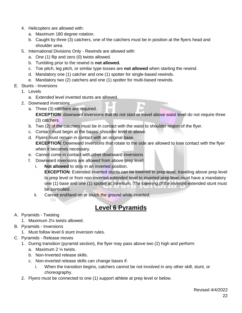- 4. Helicopters are allowed with:
	- a. Maximum 180 degree rotation.
	- b. Caught by three (3) catchers, one of the catchers must be in position at the flyers head and shoulder area.
- 5. International Divisions Only Rewinds are allowed with:
	- a. One (1) flip and zero (0) twists allowed.
	- b. Tumbling prior to the rewind is **not allowed.**
	- c. Toe pitch, leg pitch, or similar type tosses are **not allowed** when starting the rewind.
	- d. Mandatory one (1) catcher and one (1) spotter for single-based rewinds.
	- e. Mandatory two (2) catchers and one (1) spotter for multi-based rewinds.
- E. Stunts Inversions
	- 1. Levels
		- a. Extended level inverted stunts are allowed.
	- 2. Downward inversions
		- a. Three (3) catchers are required. **EXCEPTION**: downward inversions that do not start or travel above waist level do not require three (3) catchers.
		- b. Two (2) of the catchers must be in contact with the waist to shoulder region of the flyer.
		- c. Contact must begin at the bases' shoulder level or above.
		- d. Flyers must remain in contact with an original base. **EXCEPTION**: Downward inversions that rotate to the side are allowed to lose contact with the flyer when it becomes necessary.
		- e. Cannot come in contact with other downward inversions
		- f. Downward inversions are allowed from above prep level:
			- i. **Not allowed** to stop in an inverted position.

**EXCEPTION**: Extended inverted stunts can be lowered to prep level, traveling above prep level to prep level or from non-inverted extended level to inverted prep level must have a mandatory one (1) base and one (1) spotter at minimum. The lowering of the inverted extended stunt must be controlled.

ii. Cannot end/land on or touch the ground while inverted.

# **Level 6 Pyramids**

- A. Pyramids Twisting
	- 1. Maximum 2¼ twists allowed.

ТM

- B. Pyramids Inversions
	- 1. Must follow level 6 stunt inversion rules.
- C. Pyramids Release moves
	- 1. During transition (pyramid section), the flyer may pass above two (2) high and perform:
		- a. Maximum 2 ¼ twists.
		- b. Non-Inverted release skills.
		- c. Non-inverted release skills can change bases if:
			- i. When the transition begins, catchers cannot be not involved in any other skill, stunt, or choreography.
	- 2. Flyers must be connected to one (1) support athlete at prep level or below.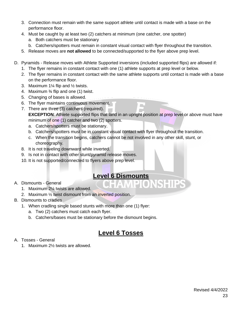- 3. Connection must remain with the same support athlete until contact is made with a base on the performance floor.
- 4. Must be caught by at least two (2) catchers at minimum (one catcher, one spotter)
	- a. Both catchers must be stationary
	- b. Catchers/spotters must remain in constant visual contact with flyer throughout the transition.
- 5. Release moves are **not allowed** to be connected/supported to the flyer above prep level.
- D. Pyramids Release moves with Athlete Supported inversions (included supported flips) are allowed if:
	- 1. The flyer remains in constant contact with one (1) athlete supports at prep level or below.
	- 2. The flyer remains in constant contact with the same athlete supports until contact is made with a base on the performance floor.
	- 3. Maximum 1¼ flip and ½ twists.
	- 4. Maximum ¾ flip and one (1) twist.
	- 5. Changing of bases is allowed.
	- 6. The flyer maintains continuous movement.
	- 7. There are three (3) catchers (required). **EXCEPTION:** Athlete supported flips that land in an upright position at prep level or above must have minimum of one (1) catcher and two (2) spotters.
		- a. Catchers/spotters must be stationary.
		- b. Catchers/spotters must be in constant visual contact with flyer throughout the transition.
		- c. When the transition begins, catchers cannot be not involved in any other skill, stunt, or choreography.
	- 8. It is not traveling downward while inverted.
	- 9. Is not in contact with other stunt/pyramid release moves.
	- 10. It is not supported/connected to flyers above prep level.

# **Level 6 Dismounts**

- A. Dismounts General
	- 1. Maximum 2¼ twists are allowed.
	- 2. Maximum ½ twist dismount from an inverted position.
- B. Dismounts to cradles
	- 1. When cradling single based stunts with more than one (1) flyer:
		- a. Two (2) catchers must catch each flyer.
		- b. Catchers/bases must be stationary before the dismount begins.

# **Level 6 Tosses**

- A. Tosses General
	- 1. Maximum 2½ twists are allowed.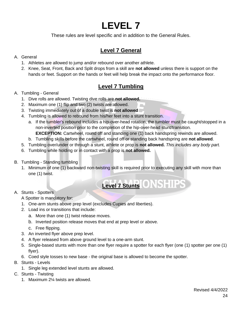These rules are level specific and in addition to the General Rules.

# **Level 7 General**

#### A. General

- 1. Athletes are allowed to jump and/or rebound over another athlete.
- 2. Knee, Seat, Front, Back and Split drops from a skill are **not allowed** unless there is support on the hands or feet. Support on the hands or feet will help break the impact onto the performance floor.

# **Level 7 Tumbling**

#### A. Tumbling - General

- 1. Dive rolls are allowed. Twisting dive rolls are **not allowed.**
- 2. Maximum one (1) flip and two (2) twists are allowed.
- 3. Twisting immediately out of a double twist is **not allowed**
- 4. Tumbling is allowed to rebound from his/her feet into a stunt transition.
	- a. If the tumbler's rebound includes a hip-over-head rotation, the tumbler must be caught/stopped in a non-inverted position prior to the completion of the hip-over-head stunt/transition.

**EXCEPTION:** Cartwheel, round off and standing one (1) back handspring rewinds are allowed.

- b. Tumbling skills before the cartwheel, round off or standing back handspring are **not allowed**.
- 5. Tumbling over/under or through a stunt, athlete or prop is **not allowed.** *This includes any body part.*
- 6. Tumbling while holding or in contact with a prop is **not allowed.**
- B. Tumbling Standing tumbling
	- 1. Minimum of one (1) backward non-twisting skill is required prior to executing any skill with more than one (1) twist.

# Level 7 Stunts<sup>1</sup>ONSHIPS

#### A. Stunts - Spotters

A Spotter is mandatory for:

- 1. One-arm stunts above prep level (excludes Cupies and liberties).
- 2. Load ins or transitions that include:
	- a. More than one (1) twist release moves.
	- b. Inverted position release moves that end at prep level or above.
	- c. Free flipping.
- 3. An inverted flyer above prep level.
- 4. A flyer released from above ground level to a one-arm stunt.
- 5. Single-based stunts with more than one flyer require a spotter for each flyer (one (1) spotter per one (1) flyer).
- 6. Coed style tosses to new base the original base is allowed to become the spotter.
- B. Stunts Levels
	- 1. Single leg extended level stunts are allowed.
- C. Stunts Twisting
	- 1. Maximum 2¼ twists are allowed.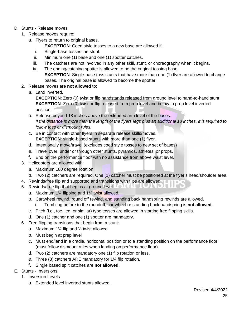- D. Stunts Release moves
	- 1. Release moves require:
		- a. Flyers to return to original bases.

**EXCEPTION**: Coed style tosses to a new base are allowed if:

- i. Single-base tosses the stunt.
- ii. Minimum one (1) base and one (1) spotter catches.
- iii. The catchers are not involved in any other skill, stunt, or choreography when it begins.
- iv. The ending/catching spotter is allowed to be the original tossing base. **EXCEPTION:** Single-base toss stunts that have more than one (1) flyer are allowed to change bases. The original base is allowed to become the spotter.
- 2. Release moves are **not allowed** to:
	- a. Land inverted.

**EXCEPTION**: Zero (0) twist or flip handstands released from ground level to hand-to-hand stunt **EXCEPTION:** Zero (0) twist or flip released from prep level and below to prep level inverted position.

- b. Release beyond 18 inches above the extended arm level of the bases. *If the distance is more than the length of the flyers legs plus an additional 18 inches, it is required to follow toss or dismount rules.*
- c. Be in contact with other flyers in separate release skills/moves. **EXCEPTION**: single-based stunts with more than one (1) flyer.
- d. Intentionally move/travel (excludes coed style tosses to new set of bases)
- e. Travel over, under or through other stunts, pyramids, athletes, or props.
- f. End on the performance floor with no assistance from above waist level.
- 3. Helicopters are allowed with:
	- a. Maximum 180 degree rotation
	- b. Two (2) catchers are required. One (1) catcher must be positioned at the flyer's head/shoulder area.
- 4. Rewinds/free flip and supported and transitions with flips are allowed. DIU
- 5. Rewinds/free flip that begins at ground level: **FOULD LATER FOULD** 
	- a. Maximum 1¼ flipping and 1¼ twist allowed.
	- b. Cartwheel rewind, round off rewind, and standing back handspring rewinds are allowed.
		- i. Tumbling before to the roundoff, cartwheel or standing back handspring is **not allowed.**
	- c. Pitch (i.e., toe, leg, or similar) type tosses are allowed in starting free flipping skills.
	- d. One (1) catcher and one (1) spotter are mandatory.
- 6. Free flipping transitions that begin from a stunt:
	- a. Maximum 1¼ flip and ½ twist allowed.
	- b. Must begin at prep level
	- c. Must end/land in a cradle, horizontal position or to a standing position on the performance floor (must follow dismount rules when landing on performance floor).
	- d. Two (2) catchers are mandatory one (1) flip rotation or less.
	- e. Three (3) catchers ARE mandatory for 1¼ flip rotation.
	- f. Single based split catches are **not allowed.**
- E. Stunts Inversions
	- 1. Inversion Levels
		- a. Extended level inverted stunts allowed.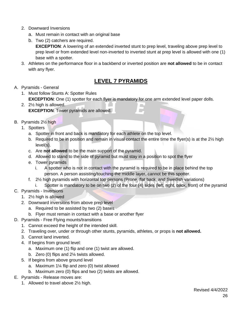- 2. Downward Inversions
	- a. Must remain in contact with an original base
	- b. Two (2) catchers are required. **EXCEPTION**: A lowering of an extended inverted stunt to prep level, traveling above prep level to prep level or from extended level non-inverted to inverted stunt at prep level is allowed with one (1) base with a spotter.
- 3. Athletes on the performance floor in a backbend or inverted position are **not allowed** to be in contact with any flyer.

# **LEVEL 7 PYRAMIDS**

- A. Pyramids General
	- 1. Must follow Stunts A: Spotter Rules **EXCEPTION:** One (1) spotter for each flyer is mandatory for one arm extended level paper dolls.
	- 2.  $2\frac{1}{2}$  high is allowed. **EXCEPTION**: Tower pyramids are allowed.
- B. Pyramids 2½ high
	- 1. Spotters
		- a. Spotter in front and back is mandatory for each athlete on the top level.
		- b. Required to be in position and remain in visual contact the entire time the flyer(s) is at the 2½ high level(s).
		- c. Are **not allowed** to be the main support of the pyramid.
		- d. Allowed to stand to the side of pyramid but must stay in a position to spot the flyer
		- e. Tower pyramids
			- i. A spotter who is not in contact with the pyramid is required to be in place behind the top person. A person assisting/touching the middle layer, cannot be this spotter.
		- f. 2½ high pyramids with horizontal top persons (Prone, flat back, and Swedish variations)
			- i. Spotter is mandatory to be on two (2) of the four (4) sides (left, right, back, front) of the pyramid
- C. Pyramids Inversions
	- 1. 2½ high is allowed
	- 2. Downward inversions from above prep level
		- a. Required to be assisted by two (2) bases
		- b. Flyer must remain in contact with a base or another flyer
- D. Pyramids Free Flying mounts/transitions
	- 1. Cannot exceed the height of the intended skill.
	- 2. Traveling over, under or through other stunts, pyramids, athletes, or props is **not allowed.**
	- 3. Cannot land inverted.
	- 4. If begins from ground level:
		- a. Maximum one (1) flip and one (1) twist are allowed.
		- b. Zero (0) flips and 2¼ twists allowed.
	- 5. If begins from above ground level
		- a. Maximum 1¼ flip and zero (0) twist allowed
		- b. Maximum zero (0) flips and two (2) twists are allowed.
- E. Pyramids Release moves are:
	- 1. Allowed to travel above 2½ high.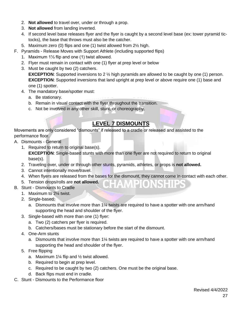- 2. **Not allowed** to travel over, under or through a prop.
- 3. **Not allowed** from landing inverted.
- 4. If second level base releases flyer and the flyer is caught by a second level base (ex: tower pyramid tictocks), the base that throws must also be the catcher.
- 5. Maximum zero (0) flips and one (1) twist allowed from 2½ high.
- F. Pyramids Release Moves with Support Athlete (including supported flips)
	- 1. Maximum 1⅓ flip and one (1) twist allowed.
	- 2. Flyer must remain in contact with one (1) flyer at prep level or below
	- 3. Must be caught by two (2) catchers. **EXCEPTION**: Supported inversions to 2 ½ high pyramids are allowed to be caught by one (1) person. **EXCEPTION**: Supported inversions that land upright at prep level or above require one (1) base and one (1) spotter.
	- 4. The mandatory base/spotter must:
		- a. Be stationary.
		- b. Remain in visual contact with the flyer throughout the transition.
		- c. Not be involved in any other skill, stunt, or choreography.

# **LEVEL 7 DISMOUNTS**

Movements are only considered "dismounts" if released to a cradle or released and assisted to the performance floor.

- A. Dismounts General
	- 1. Required to return to original base(s). **EXCEPTION:** Single-based stunts with more than one flyer are not required to return to original base(s).
	- 2. Traveling over, under or through other stunts, pyramids, athletes, or props is **not allowed.**
	- 3. Cannot intentionally move/travel.
	- 4. When flyers are released from the bases for the dismount, they cannot come in contact with each other.

**MPIONSHIP** 

- 5. Tension drops/rolls are **not allowed.**
- B. Stunt Dismounts to Cradle
	- 1. Maximum to 2¼ twist.
	- 2. Single-based:
		- a. Dismounts that involve more than 1¼ twists are required to have a spotter with one arm/hand supporting the head and shoulder of the flyer.
	- 3. Single-based with more than one (1) flyer:
		- a. Two (2) catchers per flyer is required.
		- b. Catchers/bases must be stationary before the start of the dismount.
	- 4. One-Arm stunts
		- a. Dismounts that involve more than 1¼ twists are required to have a spotter with one arm/hand supporting the head and shoulder of the flyer.
	- 5. Free flipping
		- a. Maximum 1¼ flip and ½ twist allowed.
		- b. Required to begin at prep level.
		- c. Required to be caught by two (2) catchers. One must be the original base.
		- d. Back flips must end in cradle.
- C. Stunt Dismounts to the Performance floor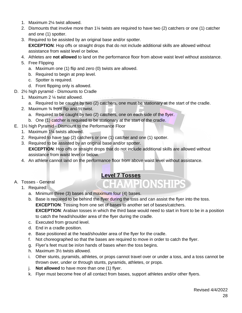- 1. Maximum 2¼ twist allowed.
- 2. Dismounts that involve more than 1¼ twists are required to have two (2) catchers or one (1) catcher and one (1) spotter.
- 3. Required to be assisted by an original base and/or spotter. **EXCEPTION**: Hop offs or straight drops that do not include additional skills are allowed without assistance from waist level or below.
- 4. Athletes are **not allowed** to land on the performance floor from above waist level without assistance.
- 5. Free Flipping
	- a. Maximum one (1) flip and zero (0) twists are allowed.
	- b. Required to begin at prep level.
	- c. Spotter is required.
	- d. Front flipping only is allowed.
- D. 2½ high pyramid Dismounts to Cradle
	- 1. Maximum 2 ¼ twist allowed.
		- a. Required to be caught by two (2) catchers, one must be stationary at the start of the cradle.
	- 2. Maximum  $\frac{3}{4}$  front flip and  $\frac{1}{2}$  twist.
		- a. Required to be caught by two (2) catchers, one on each side of the flyer.
		- b. One (1) catcher is required to be stationary at the start of the cradle.
- E. 1½ high Pyramid Dismount to the Performance Floor
	- 1. Maximum 1¼ twists allowed.
	- 2. Required to have two (2) catchers or one (1) catcher and one (1) spotter.
	- 3. Required to be assisted by an original base and/or spotter. **EXCEPTION**: Hop offs or straight drops that do not include additional skills are allowed without assistance from waist level or below.
	- 4. An athlete cannot land on the performance floor from above waist level without assistance.

# Level 7 Tosses<br>CHAMPIONSHIPS

- A. Tosses General
	- 1. Required:
		- a. Minimum three (3) bases and maximum four (4) bases.
		- b. Base is required to be behind the flyer during the toss and can assist the flyer into the toss. **EXCEPTION**: Tossing from one set of bases to another set of bases/catchers. **EXCEPTION**: Arabian tosses in which the third base would need to start in front to be in a position to catch the head/shoulder area of the flyer during the cradle.
		- c. Executed from ground level.
		- d. End in a cradle position.
		- e. Base positioned at the head/shoulder area of the flyer for the cradle.
		- f. Not choreographed so that the bases are required to move in order to catch the flyer.
		- g. Flyer's feet must be in/on hands of bases when the toss begins.
		- h. Maximum 3½ twists allowed.
		- i. Other stunts, pyramids, athletes, or props cannot travel over or under a toss, and a toss cannot be thrown over, under or through stunts, pyramids, athletes, or props.
		- j. **Not allowed** to have more than one (1) flyer.
		- k. Flyer must become free of all contact from bases, support athletes and/or other flyers.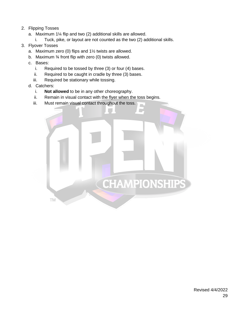- 2. Flipping Tosses
	- a. Maximum 1¼ flip and two (2) additional skills are allowed.
		- i. Tuck, pike, or layout are not counted as the two (2) additional skills.
- 3. Flyover Tosses
	- a. Maximum zero (0) flips and 1½ twists are allowed.
	- b. Maximum ¾ front flip with zero (0) twists allowed.
	- c. Bases:
		- i. Required to be tossed by three (3) or four (4) bases.
		- ii. Required to be caught in cradle by three (3) bases.
		- iii. Required be stationary while tossing.
	- d. Catchers:
		- i. **Not allowed** to be in any other choreography.
		- ii. Remain in visual contact with the flyer when the toss begins.
		- iii. Must remain visual contact throughout the toss.

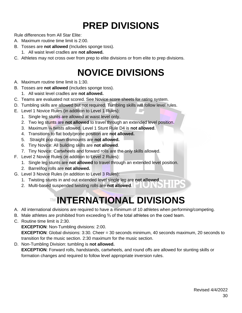# **PREP DIVISIONS**

Rule differences from All Star Elite:

- A. Maximum routine time limit is 2:00.
- B. Tosses are **not allowed** (Includes sponge toss).
	- 1. All waist level cradles are **not allowed.**
- C. Athletes may not cross over from prep to elite divisions or from elite to prep divisions.

# **NOVICE DIVISIONS**

- A. Maximum routine time limit is 1:30.
- B. Tosses are **not allowed** (includes sponge toss).
	- 1. All waist level cradles are **not allowed.**
- C. Teams are evaluated not scored. See Novice score sheets for rating system.
- D. Tumbling skills are allowed but not required. Tumbling skills will follow level rules.
- E. Level 1 Novice Rules (in addition to Level 1 Rules):
	- 1. Single leg stunts are allowed at waist level only.
	- 2. Two leg stunts are **not allowed** to travel through an extended level position.
	- 3. Maximum ¼ twists allowed. Level 1 Stunt Rule D4 is **not allowed**.
	- 4. Transitions to flat body/prone position are **not allowed.**
	- 5. Straight pop down dismounts are **not allowed.**
	- 6. Tiny Novice: All building skills are **not allowed**.
	- 7. Tiny Novice: Cartwheels and forward rolls are the only skills allowed.
- F. Level 2 Novice Rules (in addition to Level 2 Rules):
	- 1. Single leg stunts are **not allowed** to travel through an extended level position.
	- 2. Barrel/log rolls are **not allowed.**
- G. Level 3 Novice Rules (in addition to Level 3 Rules):
	- 1. Twisting stunts in and out extended level single leg are **not allowed**.
	- 2. Multi-based suspended twisting rolls are **not allowed**.

# **IM INTERNATIONAL DIVISIONS**

- A. All international divisions are required to have a minimum of 10 athletes when performing/competing.
- B. Male athletes are prohibited from exceeding ⅔ of the total athletes on the coed team.
- C. Routine time limit is 2:30.

**EXCEPTION**: Non-Tumbling divisions: 2:00.

**EXCEPTION**: Global divisions: 3:30. Cheer = 30 seconds minimum, 40 seconds maximum, 20 seconds to transition for the music section. 2:30 maximum for the music section.

D. Non-Tumbling Division: tumbling is **not allowed. EXCEPTION**: Forward rolls, handstands, cartwheels, and round offs are allowed for stunting skills or formation changes and required to follow level appropriate inversion rules.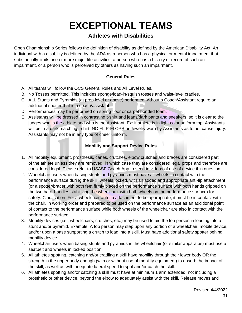# **EXCEPTIONAL TEAMS**

### **Athletes with Disabilities**

Open Championship Series follows the definition of disability as defined by the American Disability Act. An individual with a disability is defined by the ADA as a person who has a physical or mental impairment that substantially limits one or more major life activities, a person who has a history or record of such an impairment, or a person who is perceived by others as having such an impairment.

#### **General Rules**

- A. All teams will follow the OCS General Rules and All Level Rules.
- B. No Tosses permitted. This includes sponge/load-in/squish tosses and waist-level cradles.
- C. ALL Stunts and Pyramids (at prep level or above) performed without a Coach/Assistant require an additional spotter that is a coach/assistant.
- D. Performances may be performed on spring floor or carpet bonded foam.
- E. Assistants will be dressed in contrasting t-shirt and jeans/dark pants and sneakers, so it is clear to the judges who is the athlete and who is the Assistant. Ex: if athlete is in light color uniform top, Assistants will be in a dark matching t-shirt. NO FLIP-FLOPS or Jewelry worn by Assistants as to not cause injury. Assistants may not be in any type of cheer uniform.

#### **Mobility and Support Device Rules**

- 1. All mobility equipment, prosthesis, canes, crutches, elbow crutches and braces are considered part of the athlete unless they are removed, in which case they are considered legal props and therefore are considered legal. Please refer to USASF Coach App to send in videos of use of device if in question.
- 2. Wheelchair users when basing stunts and pyramids must have all wheels in contact with the performance surface during the skill, wheels locked, with an added and appropriate anti-tip attachment (or a spotter/bracer with both feet firmly placed on the performance surface with both hands gripped on the two back handles stabilizing the wheelchair with both wheels on the performance surface) for safety. Clarification: For a wheelchair anti-tip attachment to be appropriate, it must be in contact with the chair, in working order and prepared to be used on the performance surface as an additional point of contact to the performance surface while both wheels of the wheelchair are also in contact with the performance surface.
- 3. Mobility devices (i.e., wheelchairs, crutches, etc.) may be used to aid the top person in loading into a stunt and/or pyramid. Example: A top person may step upon any portion of a wheelchair, mobile device, and/or upon a base supporting a crutch to load into a skill. Must have additional safety spotter behind mobility device.
- 4. Wheelchair users when basing stunts and pyramids in the wheelchair (or similar apparatus) must use a seatbelt and wheels in locked position.
- 5. All athletes spotting, catching and/or cradling a skill have mobility through their lower body OR the strength in the upper body enough (with or without use of mobility equipment) to absorb the impact of the skill, as well as with adequate lateral speed to spot and/or catch the skill.
- 6. All athletes spotting and/or catching a skill must have at minimum 1 arm extended, not including a prosthetic or other device, beyond the elbow to adequately assist with the skill. Release moves and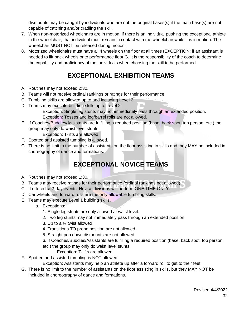dismounts may be caught by individuals who are not the original bases(s) if the main base(s) are not capable of catching and/or cradling the skill.

- 7. When non-motorized wheelchairs are in motion, if there is an individual pushing the exceptional athlete in the wheelchair, that individual must remain in contact with the wheelchair while it is in motion. The wheelchair MUST NOT be released during motion.
- 8. Motorized wheelchairs must have all 4 wheels on the floor at all times (EXCEPTION: if an assistant is needed to lift back wheels onto performance floor G. It is the responsibility of the coach to determine the capability and proficiency of the individuals when choosing the skill to be performed.

# **EXCEPTIONAL EXHIBITION TEAMS**

- A. Routines may not exceed 2:30.
- B. Teams will not receive ordinal rankings or ratings for their performance.
- C. Tumbling skills are allowed up to and including Level 2.
- D. Teams may execute building skills up to Level 2. Exception: Single leg stunts may not immediately pass through an extended position. Exception: Tosses and log/barrel rolls are not allowed.
- E. If Coaches/Buddies/Assistants are fulfilling a required position (base, back spot, top person, etc.) the group may only do waist level stunts.

Exception: T-lifts are allowed.

- F. Spotted and assisted tumbling is allowed.
- G. There is no limit to the number of assistants on the floor assisting in skills and they MAY be included in choreography of dance and formations.

# **EXCEPTIONAL NOVICE TEAMS**

- A. Routines may not exceed 1:30.
- B. Teams may receive ratings for their performance (ordinal rankings not allowed).
- C. If offered at 2-day events, Novice divisions will perform ONE TIME ONLY.
- D. Cartwheels and forward rolls are the only allowable tumbling skills.
- E. Teams may execute Level 1 building skills.
	- a. Exceptions:
		- 1. Single leg stunts are only allowed at waist level.
		- 2. Two leg stunts may not immediately pass through an extended position.
		- 3. Up to a ¼ twist allowed.
		- 4. Transitions TO prone position are not allowed.
		- 5. Straight pop down dismounts are not allowed.
		- 6. If Coaches/Buddies/Assistants are fulfilling a required position (base, back spot, top person, etc.) the group may only do waist level stunts.
			- Exception: T-lifts are allowed.
- F. Spotted and assisted tumbling is NOT allowed.

Exception: Assistants may help an athlete up after a forward roll to get to their feet.

G. There is no limit to the number of assistants on the floor assisting in skills, but they MAY NOT be included in choreography of dance and formations.